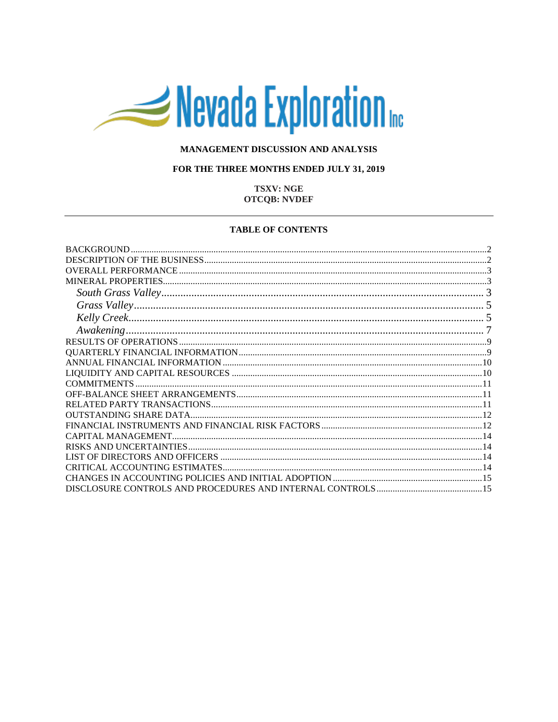# Nevada Exploration

## MANAGEMENT DISCUSSION AND ANALYSIS

## FOR THE THREE MONTHS ENDED JULY 31, 2019

## **TSXV: NGE OTCOB: NVDEF**

#### **TABLE OF CONTENTS**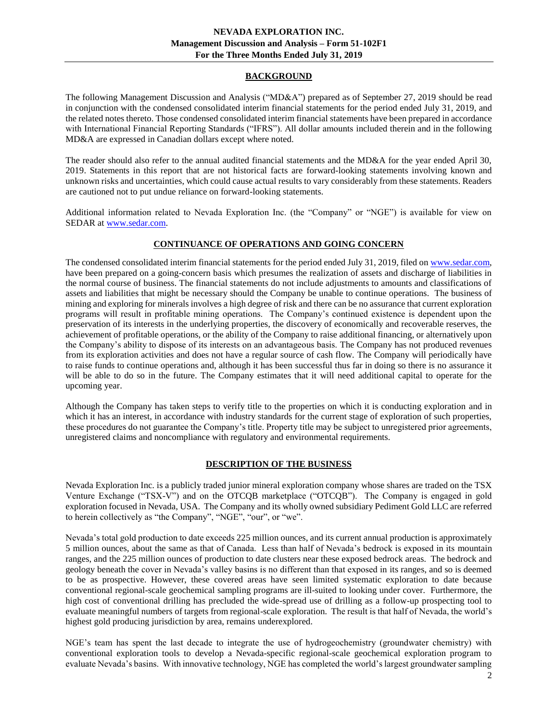## **BACKGROUND**

<span id="page-1-0"></span>The following Management Discussion and Analysis ("MD&A") prepared as of September 27, 2019 should be read in conjunction with the condensed consolidated interim financial statements for the period ended July 31, 2019, and the related notes thereto. Those condensed consolidated interim financial statements have been prepared in accordance with International Financial Reporting Standards ("IFRS"). All dollar amounts included therein and in the following MD&A are expressed in Canadian dollars except where noted.

The reader should also refer to the annual audited financial statements and the MD&A for the year ended April 30, 2019. Statements in this report that are not historical facts are forward-looking statements involving known and unknown risks and uncertainties, which could cause actual results to vary considerably from these statements. Readers are cautioned not to put undue reliance on forward-looking statements.

Additional information related to Nevada Exploration Inc. (the "Company" or "NGE") is available for view on SEDAR at [www.sedar.com.](http://www.sedar.com/)

# **CONTINUANCE OF OPERATIONS AND GOING CONCERN**

The condensed consolidated interim financial statements for the period ended July 31, 2019, filed o[n www.sedar.com,](http://www.sedar.com/) have been prepared on a going-concern basis which presumes the realization of assets and discharge of liabilities in the normal course of business. The financial statements do not include adjustments to amounts and classifications of assets and liabilities that might be necessary should the Company be unable to continue operations. The business of mining and exploring for minerals involves a high degree of risk and there can be no assurance that current exploration programs will result in profitable mining operations. The Company's continued existence is dependent upon the preservation of its interests in the underlying properties, the discovery of economically and recoverable reserves, the achievement of profitable operations, or the ability of the Company to raise additional financing, or alternatively upon the Company's ability to dispose of its interests on an advantageous basis. The Company has not produced revenues from its exploration activities and does not have a regular source of cash flow. The Company will periodically have to raise funds to continue operations and, although it has been successful thus far in doing so there is no assurance it will be able to do so in the future. The Company estimates that it will need additional capital to operate for the upcoming year.

Although the Company has taken steps to verify title to the properties on which it is conducting exploration and in which it has an interest, in accordance with industry standards for the current stage of exploration of such properties, these procedures do not guarantee the Company's title. Property title may be subject to unregistered prior agreements, unregistered claims and noncompliance with regulatory and environmental requirements.

## **DESCRIPTION OF THE BUSINESS**

<span id="page-1-1"></span>Nevada Exploration Inc. is a publicly traded junior mineral exploration company whose shares are traded on the TSX Venture Exchange ("TSX-V") and on the OTCQB marketplace ("OTCQB"). The Company is engaged in gold exploration focused in Nevada, USA. The Company and its wholly owned subsidiary Pediment Gold LLC are referred to herein collectively as "the Company", "NGE", "our", or "we".

Nevada's total gold production to date exceeds 225 million ounces, and its current annual production is approximately 5 million ounces, about the same as that of Canada. Less than half of Nevada's bedrock is exposed in its mountain ranges, and the 225 million ounces of production to date clusters near these exposed bedrock areas. The bedrock and geology beneath the cover in Nevada's valley basins is no different than that exposed in its ranges, and so is deemed to be as prospective. However, these covered areas have seen limited systematic exploration to date because conventional regional-scale geochemical sampling programs are ill-suited to looking under cover. Furthermore, the high cost of conventional drilling has precluded the wide-spread use of drilling as a follow-up prospecting tool to evaluate meaningful numbers of targets from regional-scale exploration. The result is that half of Nevada, the world's highest gold producing jurisdiction by area, remains underexplored.

NGE's team has spent the last decade to integrate the use of hydrogeochemistry (groundwater chemistry) with conventional exploration tools to develop a Nevada-specific regional-scale geochemical exploration program to evaluate Nevada's basins. With innovative technology, NGE has completed the world's largest groundwater sampling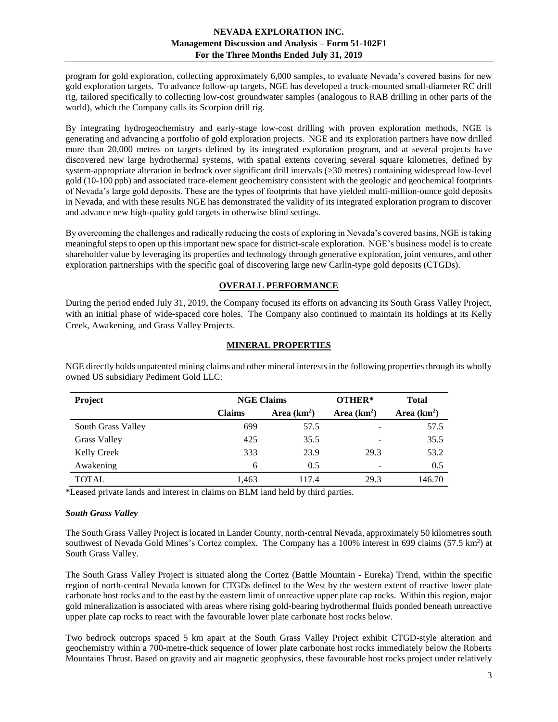program for gold exploration, collecting approximately 6,000 samples, to evaluate Nevada's covered basins for new gold exploration targets. To advance follow-up targets, NGE has developed a truck-mounted small-diameter RC drill rig, tailored specifically to collecting low-cost groundwater samples (analogous to RAB drilling in other parts of the world), which the Company calls its Scorpion drill rig.

By integrating hydrogeochemistry and early-stage low-cost drilling with proven exploration methods, NGE is generating and advancing a portfolio of gold exploration projects. NGE and its exploration partners have now drilled more than 20,000 metres on targets defined by its integrated exploration program, and at several projects have discovered new large hydrothermal systems, with spatial extents covering several square kilometres, defined by system-appropriate alteration in bedrock over significant drill intervals (>30 metres) containing widespread low-level gold (10-100 ppb) and associated trace-element geochemistry consistent with the geologic and geochemical footprints of Nevada's large gold deposits. These are the types of footprints that have yielded multi-million-ounce gold deposits in Nevada, and with these results NGE has demonstrated the validity of its integrated exploration program to discover and advance new high-quality gold targets in otherwise blind settings.

By overcoming the challenges and radically reducing the costs of exploring in Nevada's covered basins, NGE is taking meaningful steps to open up this important new space for district-scale exploration. NGE's business model is to create shareholder value by leveraging its properties and technology through generative exploration, joint ventures, and other exploration partnerships with the specific goal of discovering large new Carlin-type gold deposits (CTGDs).

# **OVERALL PERFORMANCE**

<span id="page-2-0"></span>During the period ended July 31, 2019, the Company focused its efforts on advancing its South Grass Valley Project, with an initial phase of wide-spaced core holes. The Company also continued to maintain its holdings at its Kelly Creek, Awakening, and Grass Valley Projects.

# **MINERAL PROPERTIES**

| <b>Project</b>      | <b>NGE Claims</b> |              | OTHER*       | <b>Total</b> |
|---------------------|-------------------|--------------|--------------|--------------|
|                     | <b>Claims</b>     | Area $(km2)$ | Area $(km2)$ | Area $(km2)$ |
| South Grass Valley  | 699               | 57.5         |              | 57.5         |
| <b>Grass Valley</b> | 425               | 35.5         |              | 35.5         |
| Kelly Creek         | 333               | 23.9         | 29.3         | 53.2         |
| Awakening           | 6                 | 0.5          |              | 0.5          |
| <b>TOTAL</b>        | 1.463             | 117.4        | 29.3         | 146.70       |

<span id="page-2-1"></span>NGE directly holds unpatented mining claims and other mineral interests in the following properties through its wholly owned US subsidiary Pediment Gold LLC:

\*Leased private lands and interest in claims on BLM land held by third parties.

## <span id="page-2-2"></span>*South Grass Valley*

The South Grass Valley Project is located in Lander County, north-central Nevada, approximately 50 kilometres south southwest of Nevada Gold Mines's Cortez complex. The Company has a 100% interest in 699 claims (57.5 km<sup>2</sup>) at South Grass Valley.

The South Grass Valley Project is situated along the Cortez (Battle Mountain - Eureka) Trend, within the specific region of north-central Nevada known for CTGDs defined to the West by the western extent of reactive lower plate carbonate host rocks and to the east by the eastern limit of unreactive upper plate cap rocks. Within this region, major gold mineralization is associated with areas where rising gold-bearing hydrothermal fluids ponded beneath unreactive upper plate cap rocks to react with the favourable lower plate carbonate host rocks below.

Two bedrock outcrops spaced 5 km apart at the South Grass Valley Project exhibit CTGD-style alteration and geochemistry within a 700-metre-thick sequence of lower plate carbonate host rocks immediately below the Roberts Mountains Thrust. Based on gravity and air magnetic geophysics, these favourable host rocks project under relatively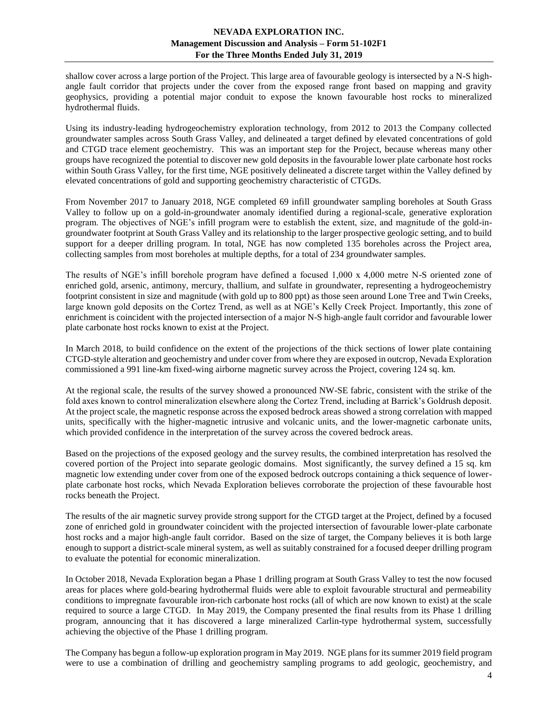shallow cover across a large portion of the Project. This large area of favourable geology is intersected by a N-S highangle fault corridor that projects under the cover from the exposed range front based on mapping and gravity geophysics, providing a potential major conduit to expose the known favourable host rocks to mineralized hydrothermal fluids.

Using its industry-leading hydrogeochemistry exploration technology, from 2012 to 2013 the Company collected groundwater samples across South Grass Valley, and delineated a target defined by elevated concentrations of gold and CTGD trace element geochemistry. This was an important step for the Project, because whereas many other groups have recognized the potential to discover new gold deposits in the favourable lower plate carbonate host rocks within South Grass Valley, for the first time, NGE positively delineated a discrete target within the Valley defined by elevated concentrations of gold and supporting geochemistry characteristic of CTGDs.

From November 2017 to January 2018, NGE completed 69 infill groundwater sampling boreholes at South Grass Valley to follow up on a gold-in-groundwater anomaly identified during a regional-scale, generative exploration program. The objectives of NGE's infill program were to establish the extent, size, and magnitude of the gold-ingroundwater footprint at South Grass Valley and its relationship to the larger prospective geologic setting, and to build support for a deeper drilling program. In total, NGE has now completed 135 boreholes across the Project area, collecting samples from most boreholes at multiple depths, for a total of 234 groundwater samples.

The results of NGE's infill borehole program have defined a focused 1,000 x 4,000 metre N-S oriented zone of enriched gold, arsenic, antimony, mercury, thallium, and sulfate in groundwater, representing a hydrogeochemistry footprint consistent in size and magnitude (with gold up to 800 ppt) as those seen around Lone Tree and Twin Creeks, large known gold deposits on the Cortez Trend, as well as at NGE's Kelly Creek Project. Importantly, this zone of enrichment is coincident with the projected intersection of a major N-S high-angle fault corridor and favourable lower plate carbonate host rocks known to exist at the Project.

In March 2018, to build confidence on the extent of the projections of the thick sections of lower plate containing CTGD-style alteration and geochemistry and under cover from where they are exposed in outcrop, Nevada Exploration commissioned a 991 line-km fixed-wing airborne magnetic survey across the Project, covering 124 sq. km.

At the regional scale, the results of the survey showed a pronounced NW-SE fabric, consistent with the strike of the fold axes known to control mineralization elsewhere along the Cortez Trend, including at Barrick's Goldrush deposit. At the project scale, the magnetic response across the exposed bedrock areas showed a strong correlation with mapped units, specifically with the higher-magnetic intrusive and volcanic units, and the lower-magnetic carbonate units, which provided confidence in the interpretation of the survey across the covered bedrock areas.

Based on the projections of the exposed geology and the survey results, the combined interpretation has resolved the covered portion of the Project into separate geologic domains. Most significantly, the survey defined a 15 sq. km magnetic low extending under cover from one of the exposed bedrock outcrops containing a thick sequence of lowerplate carbonate host rocks, which Nevada Exploration believes corroborate the projection of these favourable host rocks beneath the Project.

The results of the air magnetic survey provide strong support for the CTGD target at the Project, defined by a focused zone of enriched gold in groundwater coincident with the projected intersection of favourable lower-plate carbonate host rocks and a major high-angle fault corridor. Based on the size of target, the Company believes it is both large enough to support a district-scale mineral system, as well as suitably constrained for a focused deeper drilling program to evaluate the potential for economic mineralization.

In October 2018, Nevada Exploration began a Phase 1 drilling program at South Grass Valley to test the now focused areas for places where gold-bearing hydrothermal fluids were able to exploit favourable structural and permeability conditions to impregnate favourable iron-rich carbonate host rocks (all of which are now known to exist) at the scale required to source a large CTGD. In May 2019, the Company presented the final results from its Phase 1 drilling program, announcing that it has discovered a large mineralized Carlin-type hydrothermal system, successfully achieving the objective of the Phase 1 drilling program.

The Company has begun a follow-up exploration program in May 2019. NGE plans for its summer 2019 field program were to use a combination of drilling and geochemistry sampling programs to add geologic, geochemistry, and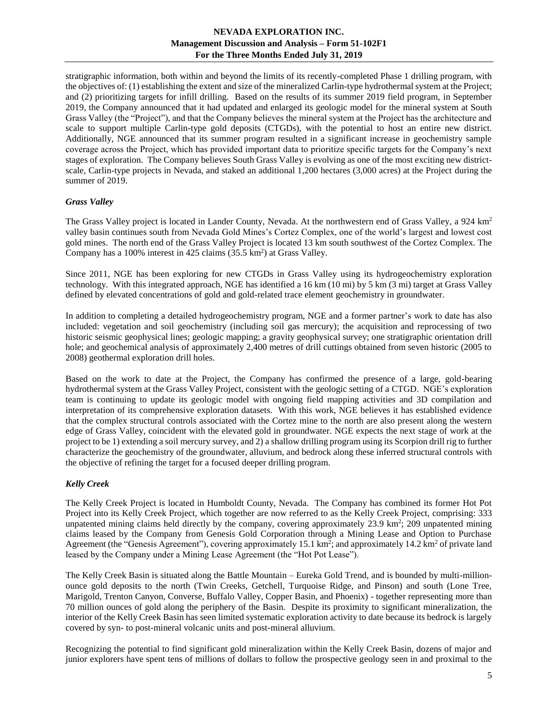stratigraphic information, both within and beyond the limits of its recently-completed Phase 1 drilling program, with the objectives of: (1) establishing the extent and size of the mineralized Carlin-type hydrothermal system at the Project; and (2) prioritizing targets for infill drilling. Based on the results of its summer 2019 field program, in September 2019, the Company announced that it had updated and enlarged its geologic model for the mineral system at South Grass Valley (the "Project"), and that the Company believes the mineral system at the Project has the architecture and scale to support multiple Carlin-type gold deposits (CTGDs), with the potential to host an entire new district. Additionally, NGE announced that its summer program resulted in a significant increase in geochemistry sample coverage across the Project, which has provided important data to prioritize specific targets for the Company's next stages of exploration. The Company believes South Grass Valley is evolving as one of the most exciting new districtscale, Carlin-type projects in Nevada, and staked an additional 1,200 hectares (3,000 acres) at the Project during the summer of 2019.

## <span id="page-4-0"></span>*Grass Valley*

The Grass Valley project is located in Lander County, Nevada. At the northwestern end of Grass Valley, a 924 km<sup>2</sup> valley basin continues south from Nevada Gold Mines's Cortez Complex, one of the world's largest and lowest cost gold mines. The north end of the Grass Valley Project is located 13 km south southwest of the Cortez Complex. The Company has a 100% interest in 425 claims  $(35.5 \text{ km}^2)$  at Grass Valley.

Since 2011, NGE has been exploring for new CTGDs in Grass Valley using its hydrogeochemistry exploration technology. With this integrated approach, NGE has identified a 16 km (10 mi) by 5 km (3 mi) target at Grass Valley defined by elevated concentrations of gold and gold-related trace element geochemistry in groundwater.

In addition to completing a detailed hydrogeochemistry program, NGE and a former partner's work to date has also included: vegetation and soil geochemistry (including soil gas mercury); the acquisition and reprocessing of two historic seismic geophysical lines; geologic mapping; a gravity geophysical survey; one stratigraphic orientation drill hole; and geochemical analysis of approximately 2,400 metres of drill cuttings obtained from seven historic (2005 to 2008) geothermal exploration drill holes.

Based on the work to date at the Project, the Company has confirmed the presence of a large, gold-bearing hydrothermal system at the Grass Valley Project, consistent with the geologic setting of a CTGD. NGE's exploration team is continuing to update its geologic model with ongoing field mapping activities and 3D compilation and interpretation of its comprehensive exploration datasets. With this work, NGE believes it has established evidence that the complex structural controls associated with the Cortez mine to the north are also present along the western edge of Grass Valley, coincident with the elevated gold in groundwater. NGE expects the next stage of work at the project to be 1) extending a soil mercury survey, and 2) a shallow drilling program using its Scorpion drill rig to further characterize the geochemistry of the groundwater, alluvium, and bedrock along these inferred structural controls with the objective of refining the target for a focused deeper drilling program.

## <span id="page-4-1"></span>*Kelly Creek*

The Kelly Creek Project is located in Humboldt County, Nevada. The Company has combined its former Hot Pot Project into its Kelly Creek Project, which together are now referred to as the Kelly Creek Project, comprising: 333 unpatented mining claims held directly by the company, covering approximately  $23.9 \text{ km}^2$ ;  $209 \text{ unpatented mining}$ claims leased by the Company from Genesis Gold Corporation through a Mining Lease and Option to Purchase Agreement (the "Genesis Agreement"), covering approximately 15.1 km<sup>2</sup>; and approximately 14.2 km<sup>2</sup> of private land leased by the Company under a Mining Lease Agreement (the "Hot Pot Lease").

The Kelly Creek Basin is situated along the Battle Mountain – Eureka Gold Trend, and is bounded by multi-millionounce gold deposits to the north (Twin Creeks, Getchell, Turquoise Ridge, and Pinson) and south (Lone Tree, Marigold, Trenton Canyon, Converse, Buffalo Valley, Copper Basin, and Phoenix) - together representing more than 70 million ounces of gold along the periphery of the Basin. Despite its proximity to significant mineralization, the interior of the Kelly Creek Basin has seen limited systematic exploration activity to date because its bedrock is largely covered by syn- to post-mineral volcanic units and post-mineral alluvium.

Recognizing the potential to find significant gold mineralization within the Kelly Creek Basin, dozens of major and junior explorers have spent tens of millions of dollars to follow the prospective geology seen in and proximal to the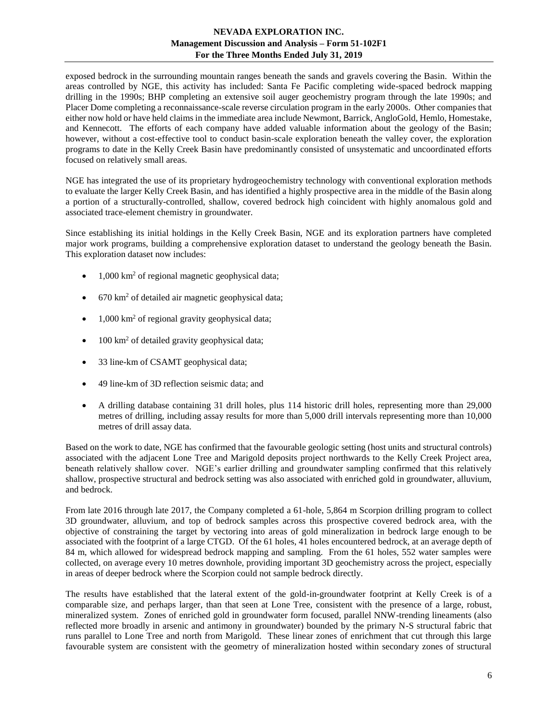exposed bedrock in the surrounding mountain ranges beneath the sands and gravels covering the Basin. Within the areas controlled by NGE, this activity has included: Santa Fe Pacific completing wide-spaced bedrock mapping drilling in the 1990s; BHP completing an extensive soil auger geochemistry program through the late 1990s; and Placer Dome completing a reconnaissance-scale reverse circulation program in the early 2000s. Other companies that either now hold or have held claims in the immediate area include Newmont, Barrick, AngloGold, Hemlo, Homestake, and Kennecott. The efforts of each company have added valuable information about the geology of the Basin; however, without a cost-effective tool to conduct basin-scale exploration beneath the valley cover, the exploration programs to date in the Kelly Creek Basin have predominantly consisted of unsystematic and uncoordinated efforts focused on relatively small areas.

NGE has integrated the use of its proprietary hydrogeochemistry technology with conventional exploration methods to evaluate the larger Kelly Creek Basin, and has identified a highly prospective area in the middle of the Basin along a portion of a structurally-controlled, shallow, covered bedrock high coincident with highly anomalous gold and associated trace-element chemistry in groundwater.

Since establishing its initial holdings in the Kelly Creek Basin, NGE and its exploration partners have completed major work programs, building a comprehensive exploration dataset to understand the geology beneath the Basin. This exploration dataset now includes:

- 1,000 km<sup>2</sup> of regional magnetic geophysical data;
- $\bullet$  670 km<sup>2</sup> of detailed air magnetic geophysical data;
- $1,000 \text{ km}^2$  of regional gravity geophysical data;
- 100 km<sup>2</sup> of detailed gravity geophysical data;
- 33 line-km of CSAMT geophysical data;
- 49 line-km of 3D reflection seismic data; and
- A drilling database containing 31 drill holes, plus 114 historic drill holes, representing more than 29,000 metres of drilling, including assay results for more than 5,000 drill intervals representing more than 10,000 metres of drill assay data.

Based on the work to date, NGE has confirmed that the favourable geologic setting (host units and structural controls) associated with the adjacent Lone Tree and Marigold deposits project northwards to the Kelly Creek Project area, beneath relatively shallow cover. NGE's earlier drilling and groundwater sampling confirmed that this relatively shallow, prospective structural and bedrock setting was also associated with enriched gold in groundwater, alluvium, and bedrock.

From late 2016 through late 2017, the Company completed a 61-hole, 5,864 m Scorpion drilling program to collect 3D groundwater, alluvium, and top of bedrock samples across this prospective covered bedrock area, with the objective of constraining the target by vectoring into areas of gold mineralization in bedrock large enough to be associated with the footprint of a large CTGD. Of the 61 holes, 41 holes encountered bedrock, at an average depth of 84 m, which allowed for widespread bedrock mapping and sampling. From the 61 holes, 552 water samples were collected, on average every 10 metres downhole, providing important 3D geochemistry across the project, especially in areas of deeper bedrock where the Scorpion could not sample bedrock directly.

The results have established that the lateral extent of the gold-in-groundwater footprint at Kelly Creek is of a comparable size, and perhaps larger, than that seen at Lone Tree, consistent with the presence of a large, robust, mineralized system. Zones of enriched gold in groundwater form focused, parallel NNW-trending lineaments (also reflected more broadly in arsenic and antimony in groundwater) bounded by the primary N-S structural fabric that runs parallel to Lone Tree and north from Marigold. These linear zones of enrichment that cut through this large favourable system are consistent with the geometry of mineralization hosted within secondary zones of structural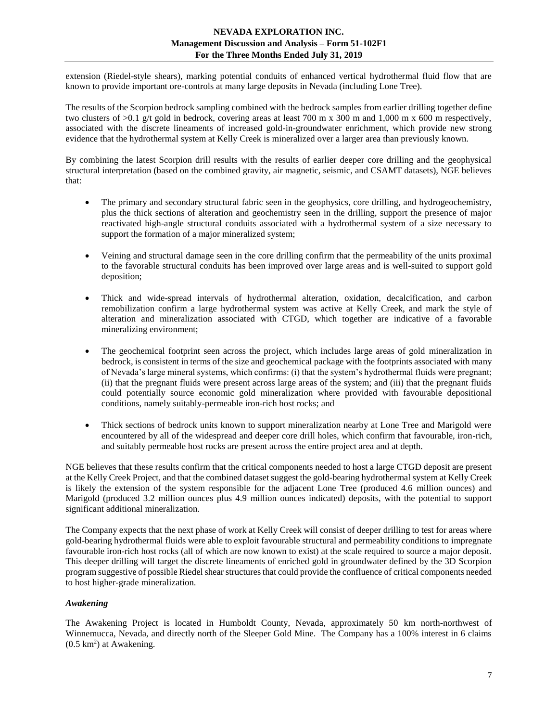extension (Riedel-style shears), marking potential conduits of enhanced vertical hydrothermal fluid flow that are known to provide important ore-controls at many large deposits in Nevada (including Lone Tree).

The results of the Scorpion bedrock sampling combined with the bedrock samples from earlier drilling together define two clusters of  $>0.1$  g/t gold in bedrock, covering areas at least 700 m x 300 m and 1,000 m x 600 m respectively. associated with the discrete lineaments of increased gold-in-groundwater enrichment, which provide new strong evidence that the hydrothermal system at Kelly Creek is mineralized over a larger area than previously known.

By combining the latest Scorpion drill results with the results of earlier deeper core drilling and the geophysical structural interpretation (based on the combined gravity, air magnetic, seismic, and CSAMT datasets), NGE believes that:

- The primary and secondary structural fabric seen in the geophysics, core drilling, and hydrogeochemistry, plus the thick sections of alteration and geochemistry seen in the drilling, support the presence of major reactivated high-angle structural conduits associated with a hydrothermal system of a size necessary to support the formation of a major mineralized system;
- Veining and structural damage seen in the core drilling confirm that the permeability of the units proximal to the favorable structural conduits has been improved over large areas and is well-suited to support gold deposition;
- Thick and wide-spread intervals of hydrothermal alteration, oxidation, decalcification, and carbon remobilization confirm a large hydrothermal system was active at Kelly Creek, and mark the style of alteration and mineralization associated with CTGD, which together are indicative of a favorable mineralizing environment;
- The geochemical footprint seen across the project, which includes large areas of gold mineralization in bedrock, is consistent in terms of the size and geochemical package with the footprints associated with many of Nevada's large mineral systems, which confirms: (i) that the system's hydrothermal fluids were pregnant; (ii) that the pregnant fluids were present across large areas of the system; and (iii) that the pregnant fluids could potentially source economic gold mineralization where provided with favourable depositional conditions, namely suitably-permeable iron-rich host rocks; and
- Thick sections of bedrock units known to support mineralization nearby at Lone Tree and Marigold were encountered by all of the widespread and deeper core drill holes, which confirm that favourable, iron-rich, and suitably permeable host rocks are present across the entire project area and at depth.

NGE believes that these results confirm that the critical components needed to host a large CTGD deposit are present at the Kelly Creek Project, and that the combined dataset suggest the gold-bearing hydrothermal system at Kelly Creek is likely the extension of the system responsible for the adjacent Lone Tree (produced 4.6 million ounces) and Marigold (produced 3.2 million ounces plus 4.9 million ounces indicated) deposits, with the potential to support significant additional mineralization.

The Company expects that the next phase of work at Kelly Creek will consist of deeper drilling to test for areas where gold-bearing hydrothermal fluids were able to exploit favourable structural and permeability conditions to impregnate favourable iron-rich host rocks (all of which are now known to exist) at the scale required to source a major deposit. This deeper drilling will target the discrete lineaments of enriched gold in groundwater defined by the 3D Scorpion program suggestive of possible Riedel shear structures that could provide the confluence of critical components needed to host higher-grade mineralization.

## <span id="page-6-0"></span>*Awakening*

The Awakening Project is located in Humboldt County, Nevada, approximately 50 km north-northwest of Winnemucca, Nevada, and directly north of the Sleeper Gold Mine. The Company has a 100% interest in 6 claims  $(0.5 \text{ km}^2)$  at Awakening.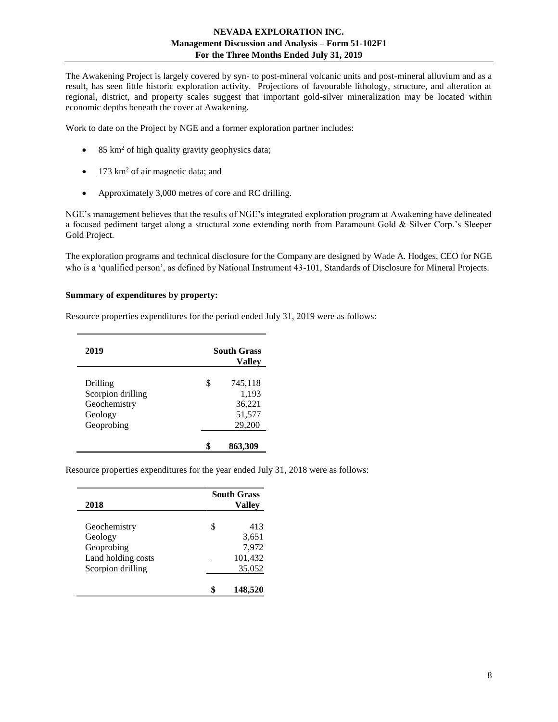The Awakening Project is largely covered by syn- to post-mineral volcanic units and post-mineral alluvium and as a result, has seen little historic exploration activity. Projections of favourable lithology, structure, and alteration at regional, district, and property scales suggest that important gold-silver mineralization may be located within economic depths beneath the cover at Awakening.

Work to date on the Project by NGE and a former exploration partner includes:

- 85 km<sup>2</sup> of high quality gravity geophysics data;
- 173 km<sup>2</sup> of air magnetic data; and
- Approximately 3,000 metres of core and RC drilling.

NGE's management believes that the results of NGE's integrated exploration program at Awakening have delineated a focused pediment target along a structural zone extending north from Paramount Gold & Silver Corp.'s Sleeper Gold Project.

The exploration programs and technical disclosure for the Company are designed by Wade A. Hodges, CEO for NGE who is a 'qualified person', as defined by National Instrument 43-101, Standards of Disclosure for Mineral Projects.

#### **Summary of expenditures by property:**

| 2019                                                                   | <b>South Grass</b><br>Vallev |                                                |  |  |
|------------------------------------------------------------------------|------------------------------|------------------------------------------------|--|--|
| Drilling<br>Scorpion drilling<br>Geochemistry<br>Geology<br>Geoprobing |                              | 745,118<br>1,193<br>36,221<br>51,577<br>29,200 |  |  |
|                                                                        |                              | 863,309                                        |  |  |

Resource properties expenditures for the period ended July 31, 2019 were as follows:

Resource properties expenditures for the year ended July 31, 2018 were as follows:

| 2018               |   | <b>South Grass</b><br>Vallev |
|--------------------|---|------------------------------|
| Geochemistry       | S | 413                          |
| Geology            |   | 3,651                        |
| Geoprobing         |   | 7,972                        |
| Land holding costs |   | 101,432                      |
| Scorpion drilling  |   | 35,052                       |
|                    |   | 148,520                      |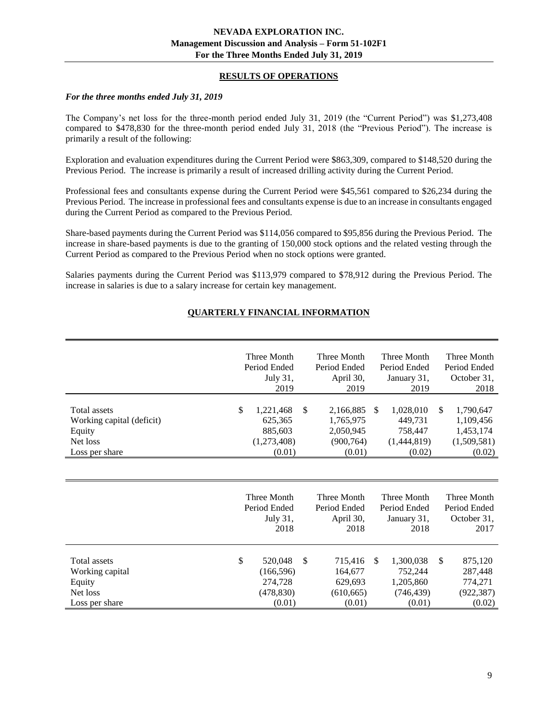## **RESULTS OF OPERATIONS**

#### <span id="page-8-0"></span>*For the three months ended July 31, 2019*

The Company's net loss for the three-month period ended July 31, 2019 (the "Current Period") was \$1,273,408 compared to \$478,830 for the three-month period ended July 31, 2018 (the "Previous Period"). The increase is primarily a result of the following:

Exploration and evaluation expenditures during the Current Period were \$863,309, compared to \$148,520 during the Previous Period. The increase is primarily a result of increased drilling activity during the Current Period.

Professional fees and consultants expense during the Current Period were \$45,561 compared to \$26,234 during the Previous Period. The increase in professional fees and consultants expense is due to an increase in consultants engaged during the Current Period as compared to the Previous Period.

Share-based payments during the Current Period was \$114,056 compared to \$95,856 during the Previous Period. The increase in share-based payments is due to the granting of 150,000 stock options and the related vesting through the Current Period as compared to the Previous Period when no stock options were granted.

<span id="page-8-1"></span>Salaries payments during the Current Period was \$113,979 compared to \$78,912 during the Previous Period. The increase in salaries is due to a salary increase for certain key management.

|                                                                                          | Three Month<br>Period Ended<br>July 31,<br>2019                | Three Month<br>Period Ended<br>April 30,<br>2019                  |               | Three Month<br>Period Ended<br>January 31,<br>2019        | Three Month<br>Period Ended<br>October 31,<br>2018                 |
|------------------------------------------------------------------------------------------|----------------------------------------------------------------|-------------------------------------------------------------------|---------------|-----------------------------------------------------------|--------------------------------------------------------------------|
| <b>Total assets</b><br>Working capital (deficit)<br>Equity<br>Net loss<br>Loss per share | \$<br>1,221,468<br>625,365<br>885,603<br>(1,273,408)<br>(0.01) | \$<br>2,166,885<br>1,765,975<br>2,050,945<br>(900, 764)<br>(0.01) | <sup>\$</sup> | 1,028,010<br>449,731<br>758,447<br>(1,444,819)<br>(0.02)  | \$<br>1,790,647<br>1,109,456<br>1,453,174<br>(1,509,581)<br>(0.02) |
|                                                                                          |                                                                |                                                                   |               |                                                           |                                                                    |
|                                                                                          | Three Month<br>Period Ended<br>July 31,<br>2018                | Three Month<br>Period Ended<br>April 30,<br>2018                  |               | Three Month<br>Period Ended<br>January 31,<br>2018        | Three Month<br>Period Ended<br>October 31,<br>2017                 |
| <b>Total assets</b><br>Working capital<br>Equity<br>Net loss<br>Loss per share           | \$<br>520,048<br>(166, 596)<br>274,728<br>(478, 830)<br>(0.01) | \$<br>715,416<br>164,677<br>629,693<br>(610, 665)<br>(0.01)       | <sup>\$</sup> | 1,300,038<br>752,244<br>1,205,860<br>(746, 439)<br>(0.01) | \$<br>875,120<br>287,448<br>774,271<br>(922, 387)<br>(0.02)        |

# **QUARTERLY FINANCIAL INFORMATION**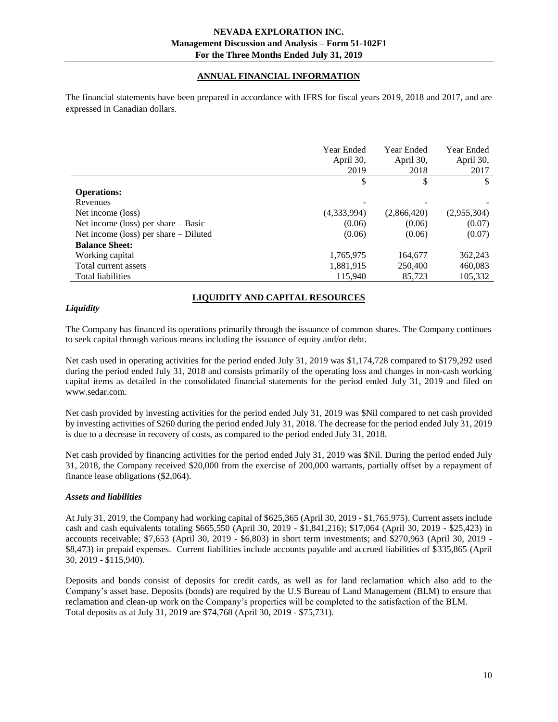# **ANNUAL FINANCIAL INFORMATION**

<span id="page-9-0"></span>The financial statements have been prepared in accordance with IFRS for fiscal years 2019, 2018 and 2017, and are expressed in Canadian dollars.

|                                         | <b>Year Ended</b><br>April 30,<br>2019 | Year Ended<br>April 30,<br>2018 | Year Ended<br>April 30,<br>2017 |
|-----------------------------------------|----------------------------------------|---------------------------------|---------------------------------|
|                                         | \$                                     | \$                              | \$                              |
| <b>Operations:</b>                      |                                        |                                 |                                 |
| Revenues                                |                                        |                                 |                                 |
| Net income (loss)                       | (4,333,994)                            | (2,866,420)                     | (2,955,304)                     |
| Net income (loss) per share $-$ Basic   | (0.06)                                 | (0.06)                          | (0.07)                          |
| Net income (loss) per share $-$ Diluted | (0.06)                                 | (0.06)                          | (0.07)                          |
| <b>Balance Sheet:</b>                   |                                        |                                 |                                 |
| Working capital                         | 1,765,975                              | 164,677                         | 362,243                         |
| Total current assets                    | 1,881,915                              | 250,400                         | 460,083                         |
| Total liabilities                       | 115,940                                | 85,723                          | 105.332                         |

# **LIQUIDITY AND CAPITAL RESOURCES**

#### <span id="page-9-1"></span>*Liquidity*

The Company has financed its operations primarily through the issuance of common shares. The Company continues to seek capital through various means including the issuance of equity and/or debt.

Net cash used in operating activities for the period ended July 31, 2019 was \$1,174,728 compared to \$179,292 used during the period ended July 31, 2018 and consists primarily of the operating loss and changes in non-cash working capital items as detailed in the consolidated financial statements for the period ended July 31, 2019 and filed on www.sedar.com.

Net cash provided by investing activities for the period ended July 31, 2019 was \$Nil compared to net cash provided by investing activities of \$260 during the period ended July 31, 2018. The decrease for the period ended July 31, 2019 is due to a decrease in recovery of costs, as compared to the period ended July 31, 2018.

Net cash provided by financing activities for the period ended July 31, 2019 was \$Nil. During the period ended July 31, 2018, the Company received \$20,000 from the exercise of 200,000 warrants, partially offset by a repayment of finance lease obligations (\$2,064).

#### *Assets and liabilities*

At July 31, 2019, the Company had working capital of \$625,365 (April 30, 2019 - \$1,765,975). Current assets include cash and cash equivalents totaling \$665,550 (April 30, 2019 - \$1,841,216); \$17,064 (April 30, 2019 - \$25,423) in accounts receivable; \$7,653 (April 30, 2019 - \$6,803) in short term investments; and \$270,963 (April 30, 2019 - \$8,473) in prepaid expenses. Current liabilities include accounts payable and accrued liabilities of \$335,865 (April 30, 2019 - \$115,940).

Deposits and bonds consist of deposits for credit cards, as well as for land reclamation which also add to the Company's asset base. Deposits (bonds) are required by the U.S Bureau of Land Management (BLM) to ensure that reclamation and clean-up work on the Company's properties will be completed to the satisfaction of the BLM. Total deposits as at July 31, 2019 are \$74,768 (April 30, 2019 - \$75,731).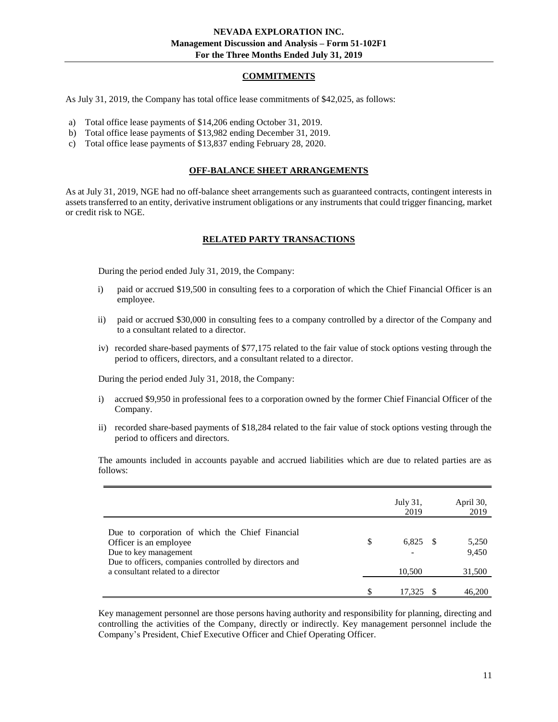## **COMMITMENTS**

<span id="page-10-0"></span>As July 31, 2019, the Company has total office lease commitments of \$42,025, as follows:

- a) Total office lease payments of \$14,206 ending October 31, 2019.
- b) Total office lease payments of \$13,982 ending December 31, 2019.
- <span id="page-10-1"></span>c) Total office lease payments of \$13,837 ending February 28, 2020.

#### **OFF-BALANCE SHEET ARRANGEMENTS**

<span id="page-10-2"></span>As at July 31, 2019, NGE had no off-balance sheet arrangements such as guaranteed contracts, contingent interests in assets transferred to an entity, derivative instrument obligations or any instruments that could trigger financing, market or credit risk to NGE.

#### **RELATED PARTY TRANSACTIONS**

During the period ended July 31, 2019, the Company:

- i) paid or accrued \$19,500 in consulting fees to a corporation of which the Chief Financial Officer is an employee.
- ii) paid or accrued \$30,000 in consulting fees to a company controlled by a director of the Company and to a consultant related to a director.
- iv) recorded share-based payments of \$77,175 related to the fair value of stock options vesting through the period to officers, directors, and a consultant related to a director.

During the period ended July 31, 2018, the Company:

- i) accrued \$9,950 in professional fees to a corporation owned by the former Chief Financial Officer of the Company.
- ii) recorded share-based payments of \$18,284 related to the fair value of stock options vesting through the period to officers and directors.

The amounts included in accounts payable and accrued liabilities which are due to related parties are as follows:

|                                                                                                                                                                                                    | July 31,<br>2019      | April 30,<br>2019        |
|----------------------------------------------------------------------------------------------------------------------------------------------------------------------------------------------------|-----------------------|--------------------------|
| Due to corporation of which the Chief Financial<br>Officer is an employee<br>Due to key management<br>Due to officers, companies controlled by directors and<br>a consultant related to a director | \$<br>6,825<br>10,500 | 5,250<br>9,450<br>31,500 |
|                                                                                                                                                                                                    | 17.325                | 46,200                   |

Key management personnel are those persons having authority and responsibility for planning, directing and controlling the activities of the Company, directly or indirectly. Key management personnel include the Company's President, Chief Executive Officer and Chief Operating Officer.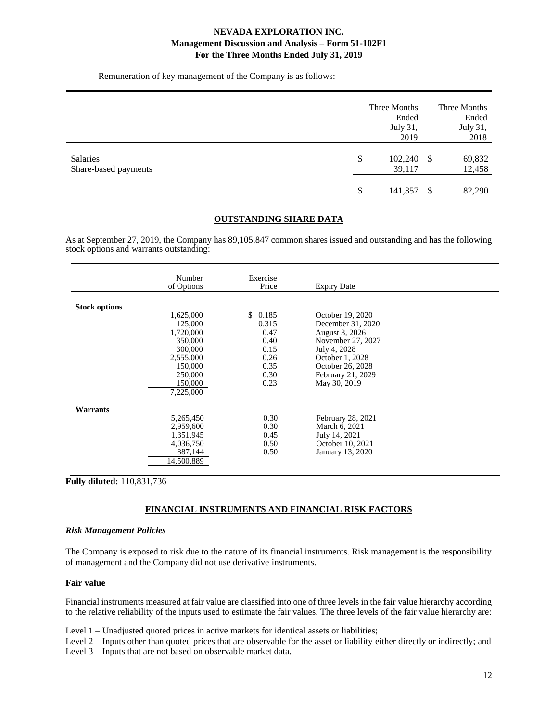Remuneration of key management of the Company is as follows:

|                                  | Three Months<br>Ended<br>July 31,<br>2019 |      | Three Months<br>Ended<br>July 31,<br>2018 |
|----------------------------------|-------------------------------------------|------|-------------------------------------------|
| Salaries<br>Share-based payments | \$<br>102,240<br>39,117                   | - \$ | 69,832<br>12,458                          |
|                                  | \$<br>141,357                             | S    | 82,290                                    |

#### **OUTSTANDING SHARE DATA**

<span id="page-11-0"></span>As at September 27, 2019, the Company has 89,105,847 common shares issued and outstanding and has the following stock options and warrants outstanding:

|                      | Number<br>of Options | Exercise<br>Price | <b>Expiry Date</b> |  |
|----------------------|----------------------|-------------------|--------------------|--|
|                      |                      |                   |                    |  |
| <b>Stock options</b> |                      |                   |                    |  |
|                      | 1,625,000            | \$0.185           | October 19, 2020   |  |
|                      | 125,000              | 0.315             | December 31, 2020  |  |
|                      | 1,720,000            | 0.47              | August 3, 2026     |  |
|                      | 350,000              | 0.40              | November 27, 2027  |  |
|                      | 300,000              | 0.15              | July 4, 2028       |  |
|                      | 2,555,000            | 0.26              | October 1, 2028    |  |
|                      | 150,000              | 0.35              | October 26, 2028   |  |
|                      | 250,000              | 0.30              | February 21, 2029  |  |
|                      | 150,000              | 0.23              | May 30, 2019       |  |
|                      | 7,225,000            |                   |                    |  |
|                      |                      |                   |                    |  |
| <b>Warrants</b>      |                      |                   |                    |  |
|                      | 5,265,450            | 0.30              | February 28, 2021  |  |
|                      | 2,959,600            | 0.30              | March 6, 2021      |  |
|                      | 1,351,945            | 0.45              | July 14, 2021      |  |
|                      | 4,036,750            | 0.50              | October 10, 2021   |  |
|                      | 887,144              | 0.50              | January 13, 2020   |  |
|                      | 14,500,889           |                   |                    |  |

<span id="page-11-1"></span>**Fully diluted:** 110,831,736

## **FINANCIAL INSTRUMENTS AND FINANCIAL RISK FACTORS**

#### *Risk Management Policies*

The Company is exposed to risk due to the nature of its financial instruments. Risk management is the responsibility of management and the Company did not use derivative instruments.

#### **Fair value**

Financial instruments measured at fair value are classified into one of three levels in the fair value hierarchy according to the relative reliability of the inputs used to estimate the fair values. The three levels of the fair value hierarchy are:

Level 1 – Unadjusted quoted prices in active markets for identical assets or liabilities;

Level 2 – Inputs other than quoted prices that are observable for the asset or liability either directly or indirectly; and Level 3 – Inputs that are not based on observable market data.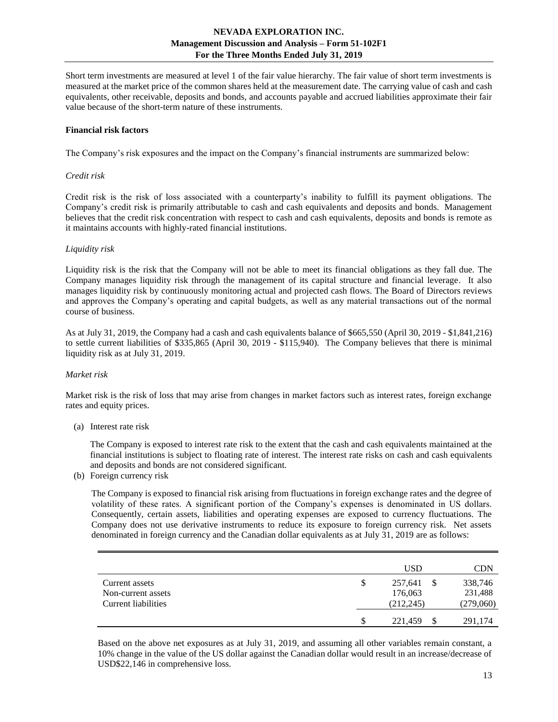Short term investments are measured at level 1 of the fair value hierarchy. The fair value of short term investments is measured at the market price of the common shares held at the measurement date. The carrying value of cash and cash equivalents, other receivable, deposits and bonds, and accounts payable and accrued liabilities approximate their fair value because of the short-term nature of these instruments.

#### **Financial risk factors**

The Company's risk exposures and the impact on the Company's financial instruments are summarized below:

#### *Credit risk*

Credit risk is the risk of loss associated with a counterparty's inability to fulfill its payment obligations. The Company's credit risk is primarily attributable to cash and cash equivalents and deposits and bonds. Management believes that the credit risk concentration with respect to cash and cash equivalents, deposits and bonds is remote as it maintains accounts with highly-rated financial institutions.

#### *Liquidity risk*

Liquidity risk is the risk that the Company will not be able to meet its financial obligations as they fall due. The Company manages liquidity risk through the management of its capital structure and financial leverage. It also manages liquidity risk by continuously monitoring actual and projected cash flows. The Board of Directors reviews and approves the Company's operating and capital budgets, as well as any material transactions out of the normal course of business.

As at July 31, 2019, the Company had a cash and cash equivalents balance of \$665,550 (April 30, 2019 - \$1,841,216) to settle current liabilities of \$335,865 (April 30, 2019 - \$115,940). The Company believes that there is minimal liquidity risk as at July 31, 2019.

## *Market risk*

Market risk is the risk of loss that may arise from changes in market factors such as interest rates, foreign exchange rates and equity prices.

(a) Interest rate risk

The Company is exposed to interest rate risk to the extent that the cash and cash equivalents maintained at the financial institutions is subject to floating rate of interest. The interest rate risks on cash and cash equivalents and deposits and bonds are not considered significant.

(b) Foreign currency risk

The Company is exposed to financial risk arising from fluctuations in foreign exchange rates and the degree of volatility of these rates. A significant portion of the Company's expenses is denominated in US dollars. Consequently, certain assets, liabilities and operating expenses are exposed to currency fluctuations. The Company does not use derivative instruments to reduce its exposure to foreign currency risk. Net assets denominated in foreign currency and the Canadian dollar equivalents as at July 31, 2019 are as follows:

|                                                             |   | USD                              | CDN                             |
|-------------------------------------------------------------|---|----------------------------------|---------------------------------|
| Current assets<br>Non-current assets<br>Current liabilities | S | 257,641<br>176,063<br>(212, 245) | 338,746<br>231,488<br>(279,060) |
|                                                             |   | 221.459                          | 291.174                         |

Based on the above net exposures as at July 31, 2019, and assuming all other variables remain constant, a 10% change in the value of the US dollar against the Canadian dollar would result in an increase/decrease of USD\$22,146 in comprehensive loss.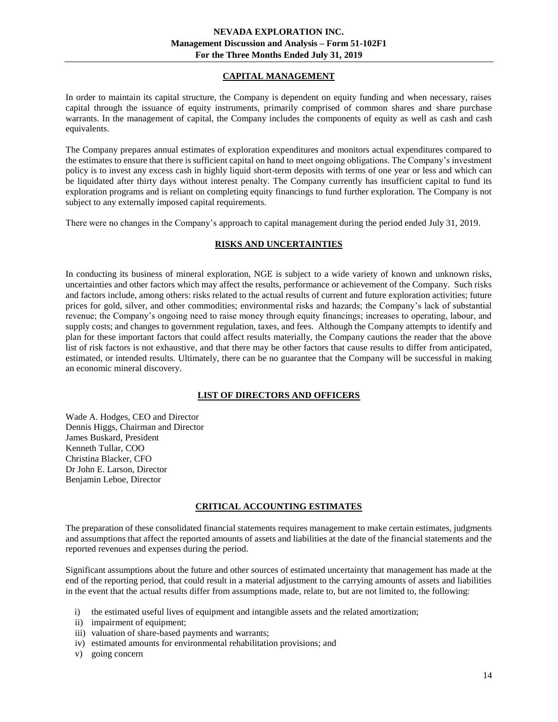# **CAPITAL MANAGEMENT**

<span id="page-13-0"></span>In order to maintain its capital structure, the Company is dependent on equity funding and when necessary, raises capital through the issuance of equity instruments, primarily comprised of common shares and share purchase warrants. In the management of capital, the Company includes the components of equity as well as cash and cash equivalents.

The Company prepares annual estimates of exploration expenditures and monitors actual expenditures compared to the estimates to ensure that there is sufficient capital on hand to meet ongoing obligations. The Company's investment policy is to invest any excess cash in highly liquid short-term deposits with terms of one year or less and which can be liquidated after thirty days without interest penalty. The Company currently has insufficient capital to fund its exploration programs and is reliant on completing equity financings to fund further exploration. The Company is not subject to any externally imposed capital requirements.

<span id="page-13-1"></span>There were no changes in the Company's approach to capital management during the period ended July 31, 2019.

# **RISKS AND UNCERTAINTIES**

In conducting its business of mineral exploration, NGE is subject to a wide variety of known and unknown risks, uncertainties and other factors which may affect the results, performance or achievement of the Company. Such risks and factors include, among others: risks related to the actual results of current and future exploration activities; future prices for gold, silver, and other commodities; environmental risks and hazards; the Company's lack of substantial revenue; the Company's ongoing need to raise money through equity financings; increases to operating, labour, and supply costs; and changes to government regulation, taxes, and fees. Although the Company attempts to identify and plan for these important factors that could affect results materially, the Company cautions the reader that the above list of risk factors is not exhaustive, and that there may be other factors that cause results to differ from anticipated, estimated, or intended results. Ultimately, there can be no guarantee that the Company will be successful in making an economic mineral discovery.

## **LIST OF DIRECTORS AND OFFICERS**

<span id="page-13-2"></span>Wade A. Hodges, CEO and Director Dennis Higgs, Chairman and Director James Buskard, President Kenneth Tullar, COO Christina Blacker, CFO Dr John E. Larson, Director Benjamin Leboe, Director

## **CRITICAL ACCOUNTING ESTIMATES**

<span id="page-13-3"></span>The preparation of these consolidated financial statements requires management to make certain estimates, judgments and assumptions that affect the reported amounts of assets and liabilities at the date of the financial statements and the reported revenues and expenses during the period.

Significant assumptions about the future and other sources of estimated uncertainty that management has made at the end of the reporting period, that could result in a material adjustment to the carrying amounts of assets and liabilities in the event that the actual results differ from assumptions made, relate to, but are not limited to, the following:

- i) the estimated useful lives of equipment and intangible assets and the related amortization;
- ii) impairment of equipment;
- iii) valuation of share-based payments and warrants;
- iv) estimated amounts for environmental rehabilitation provisions; and
- v) going concern